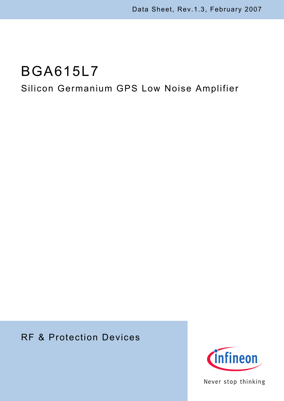# Silicon Germanium GPS Low Noise Amplifier

# RF & Protection Devices



Never stop thinking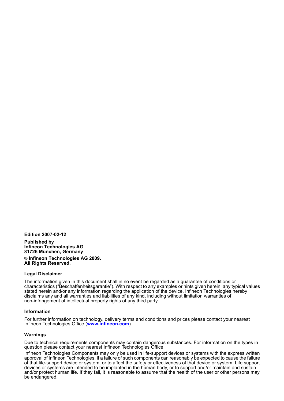**Edition 2007-02-12**

**Published by Infineon Technologies AG 81726 München, Germany © Infineon Technologies AG 2009. All Rights Reserved.**

#### **Legal Disclaimer**

The information given in this document shall in no event be regarded as a guarantee of conditions or characteristics ("Beschaffenheitsgarantie"). With respect to any examples or hints given herein, any typical values stated herein and/or any information regarding the application of the device, Infineon Technologies hereby disclaims any and all warranties and liabilities of any kind, including without limitation warranties of non-infringement of intellectual property rights of any third party.

#### **Information**

For further information on technology, delivery terms and conditions and prices please contact your nearest Infineon Technologies Office (**[www.infineon.com](http://www.infineon.com)**).

#### **Warnings**

Due to technical requirements components may contain dangerous substances. For information on the types in question please contact your nearest Infineon Technologies Office.

Infineon Technologies Components may only be used in life-support devices or systems with the express written approval of Infineon Technologies, if a failure of such components can reasonably be expected to cause the failure of that life-support device or system, or to affect the safety or effectiveness of that device or system. Life support devices or systems are intended to be implanted in the human body, or to support and/or maintain and sustain and/or protect human life. If they fail, it is reasonable to assume that the health of the user or other persons may be endangered.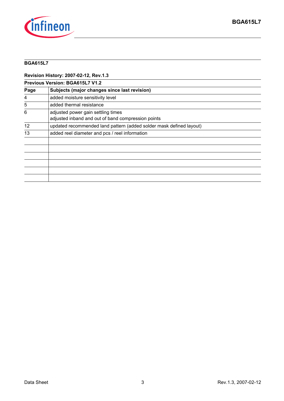

**Revision History: 2007-02-12, Rev.1.3**

| <b>Previous Version: BGA615L7 V1.2</b> |                                                                                          |  |  |  |
|----------------------------------------|------------------------------------------------------------------------------------------|--|--|--|
| Page                                   | Subjects (major changes since last revision)                                             |  |  |  |
| 4                                      | added moisture sensitivity level                                                         |  |  |  |
| 5                                      | added thermal resistance                                                                 |  |  |  |
| 6                                      | adjusted power gain settling times<br>adjusted inband and out of band compression points |  |  |  |
| 12                                     | updated recommended land pattern (added solder mask defined layout)                      |  |  |  |
| 13                                     | added reel diameter and pcs / reel information                                           |  |  |  |
|                                        |                                                                                          |  |  |  |
|                                        |                                                                                          |  |  |  |
|                                        |                                                                                          |  |  |  |
|                                        |                                                                                          |  |  |  |
|                                        |                                                                                          |  |  |  |
|                                        |                                                                                          |  |  |  |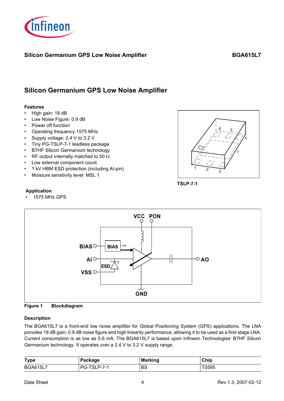

4

7

# **Silicon Germanium GPS Low Noise Amplifier**

#### **Features**

- High gain: 18 dB
- Low Noise Figure: 0.9 dB
- Power off function
- Operating frequency 1575 MHz
- Supply voltage: 2.4 V to 3.2 V
- Tiny PG-TSLP-7-1 leadless package
- B7HF Silicon Germanium technology
- RF output internally matched to 50  $\Omega$
- Low external component count
- 1 kV HBM ESD protection (including AI-pin)
- Moisture sensitivity level: MSL 1



 $\frac{6}{5}$   $\frac{5}{5}$ 

**TSLP-7-1**

#### **Application**

• 1575 MHz GPS





#### **Description**

The BGA615L7 is a front-end low noise amplifier for Global Positioning System (GPS) applications. The LNA provides 18 dB gain, 0.9 dB noise figure and high linearity performance, allowing it to be used as a first-stage LNA. Current consumption is as low as 5.6 mA. The BGA615L7 is based upon Infineon Technologies' B7HF Silicon Germanium technology. It operates over a 2.4 V to 3.2 V supply range.

| <b>Type</b>     | Package     | <b>Marking</b> | Chip  |
|-----------------|-------------|----------------|-------|
| <b>BGA615L7</b> | PG-TSLP-7-1 | BS             | T0595 |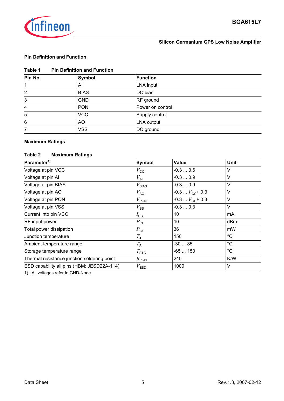

#### **Silicon Germanium GPS Low Noise Amplifier**

#### **Pin Definition and Function**

| Table 1<br><b>Pin Definition and Function</b> |
|-----------------------------------------------|
|-----------------------------------------------|

| Pin No. | Symbol      | <b>Function</b>  |
|---------|-------------|------------------|
|         | Al          | LNA input        |
| 2       | <b>BIAS</b> | DC bias          |
| 3       | <b>GND</b>  | RF ground        |
| 4       | <b>PON</b>  | Power on control |
| 5       | <b>VCC</b>  | Supply control   |
| 6       | AO          | LNA output       |
| 7       | <b>VSS</b>  | DC ground        |

# **Maximum Ratings**

### **Table 2 Maximum Ratings**

| Parameter <sup>1)</sup>                     | Symbol             | <b>Value</b>          | Unit         |
|---------------------------------------------|--------------------|-----------------------|--------------|
| Voltage at pin VCC                          | $V_{\rm CC}$       | $-0.33.6$             | ٧            |
| Voltage at pin Al                           | $V_{\sf Al}$       | $-0.30.9$             | V            |
| Voltage at pin BIAS                         | $V_{BIAS}$         | $-0.30.9$             | V            |
| Voltage at pin AO                           | $V_{\rm AO}$       | $-0.3$ $V_{CC}$ + 0.3 | $\vee$       |
| Voltage at pin PON                          | $V_{\text{PON}}$   | $-0.3$ $V_{CC}$ + 0.3 | V            |
| Voltage at pin VSS                          | $V_{\rm SS}$       | $-0.30.3$             | $\vee$       |
| Current into pin VCC                        | $I_{\rm CC}$       | 10                    | mA           |
| RF input power                              | $P_{\text{IN}}$    | 10                    | dBm          |
| Total power dissipation                     | $P_{\text{tot}}$   | 36                    | mW           |
| Junction temperature                        | $T_{\text{J}}$     | 150                   | $^{\circ}C$  |
| Ambient temperature range                   | $T_{\sf A}$        | $-3085$               | $^{\circ}C$  |
| Storage temperature range                   | $T_{\text{STG}}$   | $-65150$              | $^{\circ}$ C |
| Thermal resistance junction soldering point | $R_{\text{th JS}}$ | 240                   | K/W          |
| ESD capability all pins (HBM: JESD22A-114)  | $V_{ESD}$          | 1000                  | V            |

1) All voltages refer to GND-Node.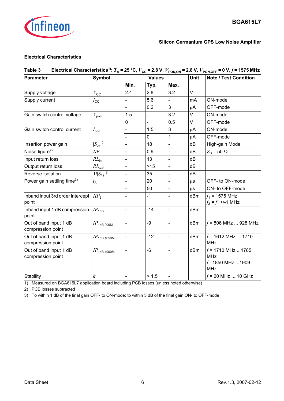

#### **Electrical Characteristics**

| Table 3                                     |                           |                          |                          |                          | <b>Unit</b> | Electrical Characteristics <sup>1)</sup> : $T_A$ = 25 °C, $V_{CC}$ = 2.8 V, $V_{PON,ON}$ = 2.8 V, $V_{PON,OFF}$ = 0 V, $f$ = 1575 MHz |
|---------------------------------------------|---------------------------|--------------------------|--------------------------|--------------------------|-------------|---------------------------------------------------------------------------------------------------------------------------------------|
| <b>Parameter</b>                            | <b>Symbol</b>             |                          | <b>Values</b>            |                          |             | <b>Note / Test Condition</b>                                                                                                          |
|                                             |                           | Min.                     | Typ.                     | Max.                     |             |                                                                                                                                       |
| Supply voltage                              | $V_{\rm CC}$              | 2.4                      | 2.8                      | 3.2                      | $\vee$      |                                                                                                                                       |
| Supply current                              | $I_{\rm CC}$              |                          | 5.6                      | $\overline{\phantom{0}}$ | mA          | ON-mode                                                                                                                               |
|                                             |                           |                          | 0.2                      | 3                        | $\mu$ A     | OFF-mode                                                                                                                              |
| Gain switch control voltage                 | $V_{\mathsf{pon}}$        | 1.5                      | $\overline{\phantom{0}}$ | 3.2                      | V           | ON-mode                                                                                                                               |
|                                             |                           | 0                        |                          | 0.5                      | V           | OFF-mode                                                                                                                              |
| Gain switch control current                 | $I_{\mathsf{pon}}$        |                          | 1.5                      | 3                        | $\mu$ A     | ON-mode                                                                                                                               |
|                                             |                           | $\overline{\phantom{0}}$ | 0                        | $\mathbf{1}$             | $\mu$ A     | OFF-mode                                                                                                                              |
| Insertion power gain                        | $ S_{21} ^2$              | $\overline{a}$           | 18                       | $\overline{a}$           | dB          | High-gain Mode                                                                                                                        |
| Noise figure <sup>2)</sup>                  | NF                        | $\overline{\phantom{0}}$ | 0.9                      | $\overline{\phantom{0}}$ | dB          | $Z_{\rm s}$ = 50 $\Omega$                                                                                                             |
| Input return loss                           | $RL_{in}$                 | $\overline{a}$           | 13                       | $\frac{1}{2}$            | dB          |                                                                                                                                       |
| Output return loss                          | $RL_{\rm out}$            |                          | $>15$                    | $\blacksquare$           | dB          |                                                                                                                                       |
| Reverse isolation                           | $1/ S_{12} ^2$            | $\overline{\phantom{0}}$ | 35                       | $\frac{1}{2}$            | dB          |                                                                                                                                       |
| Power gain settling time <sup>3)</sup>      | $t_{\rm S}$               |                          | 20                       |                          | $\mu$ S     | OFF- to ON-mode                                                                                                                       |
|                                             |                           | $\blacksquare$           | 50                       | $\overline{\phantom{0}}$ | $\mu$ s     | ON- to OFF-mode                                                                                                                       |
| Inband input 3rd order intercept<br>point   | $\mathit{HP}_3$           |                          | $-1$                     | ÷,                       | dBm         | $f_1$ = 1575 MHz<br>$f_2 = f_1 + (-1)$ MHz                                                                                            |
| Inband input 1 dB compression<br>point      | $IP_{1dB}$                | $\overline{\phantom{0}}$ | $-14$                    | $\overline{\phantom{0}}$ | dBm         |                                                                                                                                       |
| Out of band input 1 dB<br>compression point | $IP$ <sub>1dB,900M</sub>  |                          | -9                       | $\overline{\phantom{0}}$ | dBm         | $f = 806$ MHz  928 MHz                                                                                                                |
| Out of band input 1 dB<br>compression point | $IP$ <sub>1dB,1650M</sub> | $\overline{a}$           | $-12$                    | $\overline{\phantom{0}}$ | dBm         | $f = 1612$ MHz  1710<br><b>MHz</b>                                                                                                    |
| Out of band input 1 dB<br>compression point | $IP$ <sub>1dB,1900M</sub> | -                        | $-6$                     | $\blacksquare$           | dBm         | $f = 1710$ MHz 1785<br><b>MHz</b><br>$f = 1850$ MHz 1909<br><b>MHz</b>                                                                |
| Stability                                   | $\boldsymbol{k}$          | $\blacksquare$           | > 1.5                    | $\overline{\phantom{0}}$ |             | $f = 20$ MHz  10 GHz                                                                                                                  |

1) Measured on BGA615L7 application board including PCB losses (unless noted otherwise)

2) PCB losses subtracted

3) To within 1 dB of the final gain OFF- to ON-mode; to within 3 dB of the final gain ON- to OFF-mode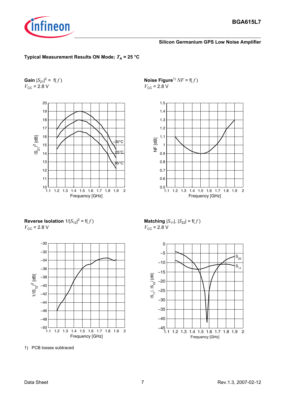

#### **Typical Measurement Results ON Mode;**  $T_A = 25 \text{ °C}$

**Gain**  $|S_{21}|^2 = f(f)$  $V_{\text{CC}} = 2.8 \text{ V}$ 



**Noise Figure**<sup>1)</sup>  $NF = f(f)$  $V_{\text{CC}}$  = 2.8 V



**Reverse Isolation**  $1/|S_{12}|^2 = f(f)$  $V_{\text{CC}}$  = 2.8 V



1) PCB losses subtraced

**Matching**  $|S_{11}|$ ,  $|S_{22}| = f(f)$  $V_{\text{CC}}$  = 2.8 V

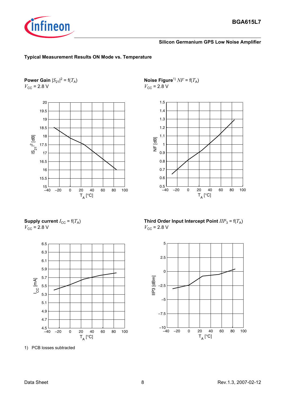

#### **Silicon Germanium GPS Low Noise Amplifier**

#### **Typical Measurement Results ON Mode vs. Temperature**

**Power Gain**  $|S_{21}|^2 = f(T_A)$  $V_{\text{CC}}$  = 2.8 V



**Noise Figure**<sup>1)</sup>  $NF = f(T_A)$  $V_{\text{CC}}$  = 2.8 V



**Supply current**  $I_{CC} = f(T_A)$  $V_{\text{CC}}$  = 2.8 V



1) PCB losses subtracted

**Third Order Input Intercept Point**  $IIP_3 = f(T_A)$  $V_{\text{CC}}$  = 2.8 V

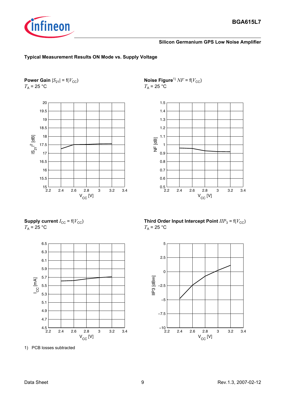

#### **Typical Measurement Results ON Mode vs. Supply Voltage**

**Power Gain**  $|S_{21}| = f(V_{CC})$  $T_A$  = 25 °C



**Noise Figure**<sup>1)</sup>  $NF = f(V_{CC})$  $T_A$  = 25 °C



**Supply current**  $I_{\text{CC}}$  = f( $V_{\text{CC}}$ )  $T_A$  = 25 °C



1) PCB losses subtracted

**Third Order Input Intercept Point**  $IIP_3$  **= f(** $V_{CC}$ **)**  $T_A$  = 25 °C

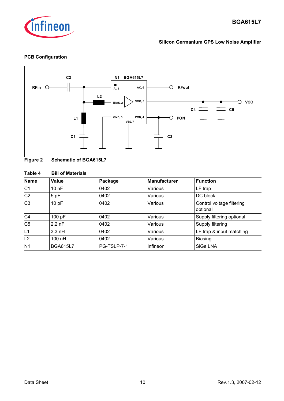

#### **PCB Configuration**



#### **Figure 2 Schematic of BGA615L7**

#### **Table 4 Bill of Materials**

| <b>Name</b>    | Value           | Package     | <b>Manufacturer</b> | <b>Function</b>                       |
|----------------|-----------------|-------------|---------------------|---------------------------------------|
| C <sub>1</sub> | 10nF            | 0402        | Various             | LF trap                               |
| C <sub>2</sub> | 5 pF            | 0402        | Various             | DC block                              |
| C <sub>3</sub> | 10pF            | 0402        | Various             | Control voltage filtering<br>optional |
| C <sub>4</sub> | 100 pF          | 0402        | Various             | Supply filtering optional             |
| C <sub>5</sub> | $2.2$ nF        | 0402        | Various             | Supply filtering                      |
| L1             | $3.3$ nH        | 0402        | Various             | LF trap & input matching              |
| L <sub>2</sub> | $100$ nH        | 0402        | Various             | <b>Biasing</b>                        |
| N <sub>1</sub> | <b>BGA615L7</b> | PG-TSLP-7-1 | Infineon            | SiGe LNA                              |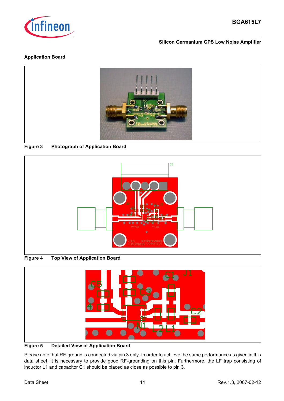

#### **Silicon Germanium GPS Low Noise Amplifier**

#### **Application Board**



#### **Figure 3 Photograph of Application Board**



**Figure 4 Top View of Application Board**



#### **Figure 5 Detailed View of Application Board**

Please note that RF-ground is connected via pin 3 only. In order to achieve the same performance as given in this data sheet, it is necessary to provide good RF-grounding on this pin. Furthermore, the LF trap consisting of inductor L1 and capacitor C1 should be placed as close as possible to pin 3.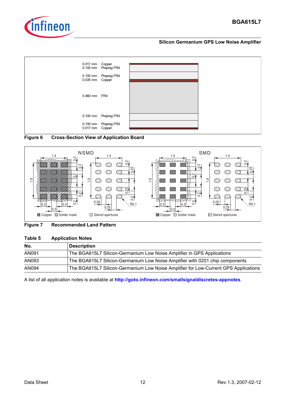







#### **Figure 7 Recommended Land Pattern**

#### **Table 5 Application Notes**

| No.   | Description                                                                         |
|-------|-------------------------------------------------------------------------------------|
| AN091 | The BGA615L7 Silicon-Germanium Low Noise Amplifier in GPS Applications              |
| AN093 | The BGA615L7 Silicon-Germanium Low Noise Amplifier with 0201 chip components        |
| AN094 | The BGA615L7 Silicon-Germanium Low Noise Amplifier for Low-Current GPS Applications |

A list of all application notes is available at **<http://goto.infineon.com/smallsignaldiscretes-appnotes>**.